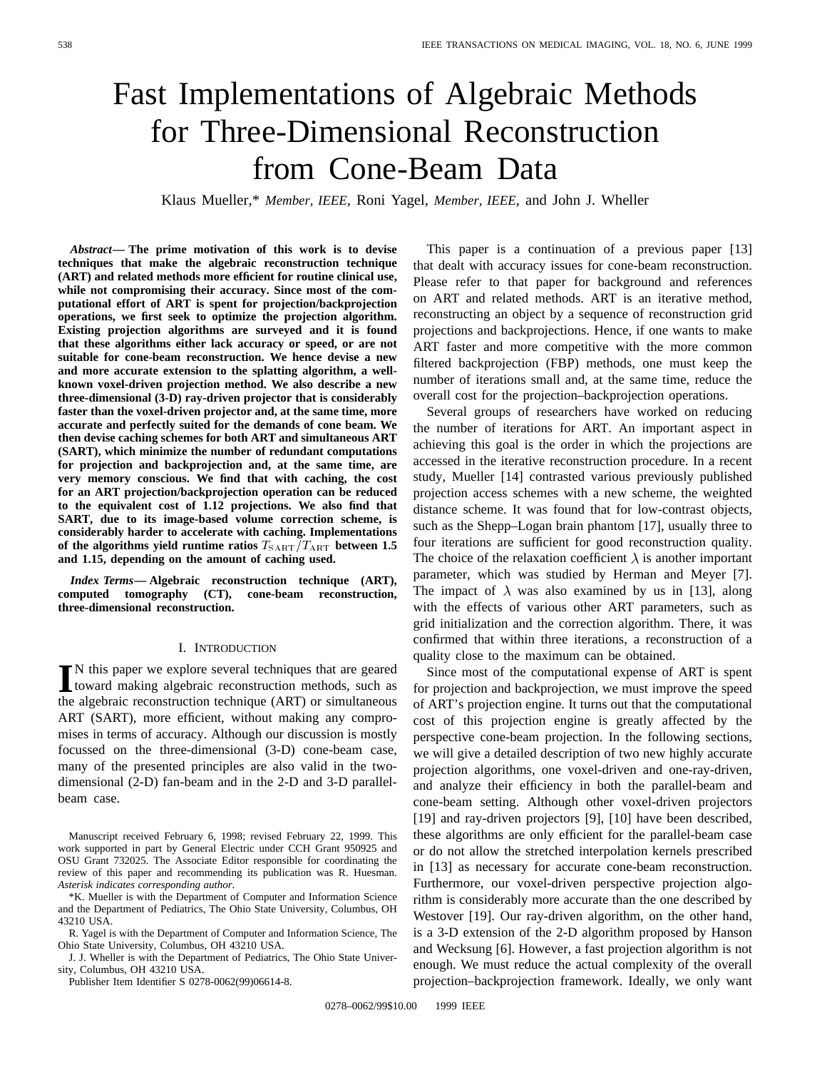# Fast Implementations of Algebraic Methods for Three-Dimensional Reconstruction from Cone-Beam Data

Klaus Mueller,\* *Member, IEEE*, Roni Yagel, *Member, IEEE*, and John J. Wheller

*Abstract—* **The prime motivation of this work is to devise techniques that make the algebraic reconstruction technique (ART) and related methods more efficient for routine clinical use, while not compromising their accuracy. Since most of the computational effort of ART is spent for projection/backprojection operations, we first seek to optimize the projection algorithm. Existing projection algorithms are surveyed and it is found that these algorithms either lack accuracy or speed, or are not suitable for cone-beam reconstruction. We hence devise a new and more accurate extension to the splatting algorithm, a wellknown voxel-driven projection method. We also describe a new three-dimensional (3-D) ray-driven projector that is considerably faster than the voxel-driven projector and, at the same time, more accurate and perfectly suited for the demands of cone beam. We then devise caching schemes for both ART and simultaneous ART (SART), which minimize the number of redundant computations for projection and backprojection and, at the same time, are very memory conscious. We find that with caching, the cost for an ART projection/backprojection operation can be reduced to the equivalent cost of 1.12 projections. We also find that SART, due to its image-based volume correction scheme, is considerably harder to accelerate with caching. Implementations** of the algorithms yield runtime ratios  $T_{\text{SART}}/T_{\text{ART}}$  between 1.5 **and 1.15, depending on the amount of caching used.**

*Index Terms—* **Algebraic reconstruction technique (ART), computed tomography (CT), cone-beam reconstruction, three-dimensional reconstruction.**

## I. INTRODUCTION

IN this paper we explore several techniques that are geared toward making algebraic reconstruction methods, such as the algebraic reconstruction technique (ART) or simultaneous N this paper we explore several techniques that are geared toward making algebraic reconstruction methods, such as ART (SART), more efficient, without making any compromises in terms of accuracy. Although our discussion is mostly focussed on the three-dimensional (3-D) cone-beam case, many of the presented principles are also valid in the twodimensional (2-D) fan-beam and in the 2-D and 3-D parallelbeam case.

Manuscript received February 6, 1998; revised February 22, 1999. This work supported in part by General Electric under CCH Grant 950925 and OSU Grant 732025. The Associate Editor responsible for coordinating the review of this paper and recommending its publication was R. Huesman. *Asterisk indicates corresponding author.*

\*K. Mueller is with the Department of Computer and Information Science and the Department of Pediatrics, The Ohio State University, Columbus, OH 43210 USA.

R. Yagel is with the Department of Computer and Information Science, The Ohio State University, Columbus, OH 43210 USA.

J. J. Wheller is with the Department of Pediatrics, The Ohio State University, Columbus, OH 43210 USA.

Publisher Item Identifier S 0278-0062(99)06614-8.

This paper is a continuation of a previous paper [13] that dealt with accuracy issues for cone-beam reconstruction. Please refer to that paper for background and references on ART and related methods. ART is an iterative method, reconstructing an object by a sequence of reconstruction grid projections and backprojections. Hence, if one wants to make ART faster and more competitive with the more common filtered backprojection (FBP) methods, one must keep the number of iterations small and, at the same time, reduce the overall cost for the projection–backprojection operations.

Several groups of researchers have worked on reducing the number of iterations for ART. An important aspect in achieving this goal is the order in which the projections are accessed in the iterative reconstruction procedure. In a recent study, Mueller [14] contrasted various previously published projection access schemes with a new scheme, the weighted distance scheme. It was found that for low-contrast objects, such as the Shepp–Logan brain phantom [17], usually three to four iterations are sufficient for good reconstruction quality. The choice of the relaxation coefficient  $\lambda$  is another important parameter, which was studied by Herman and Meyer [7]. The impact of  $\lambda$  was also examined by us in [13], along with the effects of various other ART parameters, such as grid initialization and the correction algorithm. There, it was confirmed that within three iterations, a reconstruction of a quality close to the maximum can be obtained.

Since most of the computational expense of ART is spent for projection and backprojection, we must improve the speed of ART's projection engine. It turns out that the computational cost of this projection engine is greatly affected by the perspective cone-beam projection. In the following sections, we will give a detailed description of two new highly accurate projection algorithms, one voxel-driven and one-ray-driven, and analyze their efficiency in both the parallel-beam and cone-beam setting. Although other voxel-driven projectors [19] and ray-driven projectors [9], [10] have been described, these algorithms are only efficient for the parallel-beam case or do not allow the stretched interpolation kernels prescribed in [13] as necessary for accurate cone-beam reconstruction. Furthermore, our voxel-driven perspective projection algorithm is considerably more accurate than the one described by Westover [19]. Our ray-driven algorithm, on the other hand, is a 3-D extension of the 2-D algorithm proposed by Hanson and Wecksung [6]. However, a fast projection algorithm is not enough. We must reduce the actual complexity of the overall projection–backprojection framework. Ideally, we only want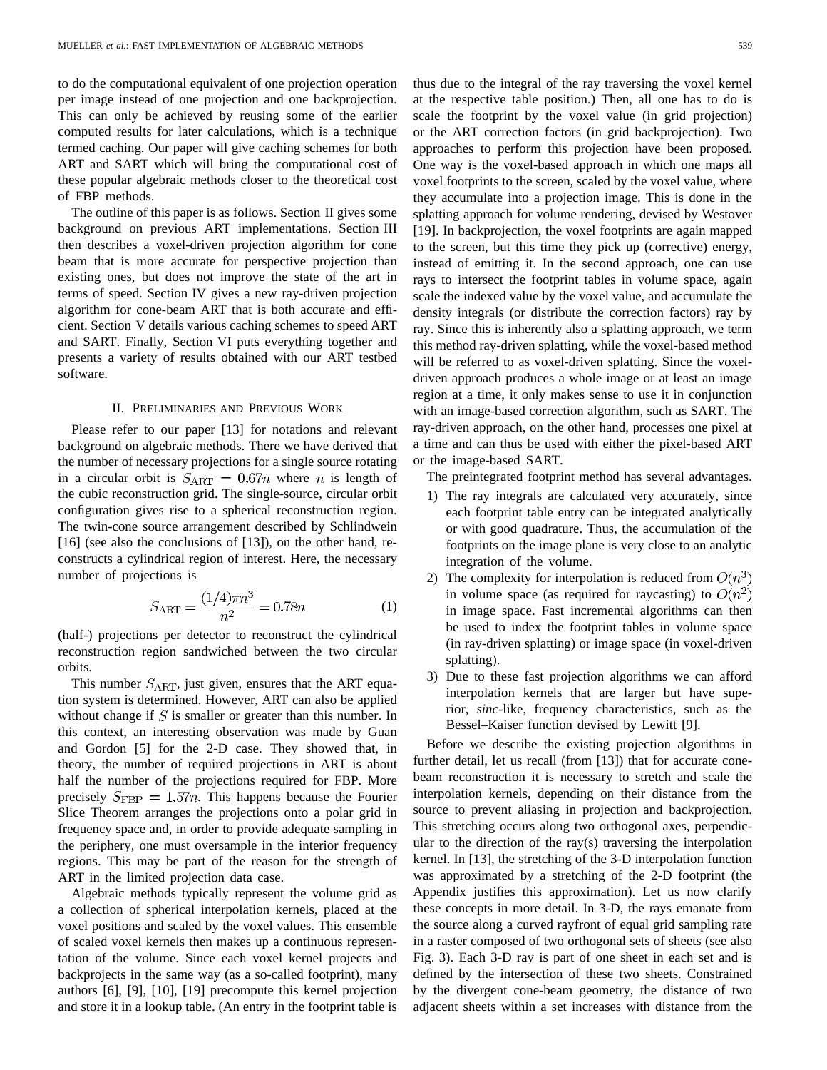to do the computational equivalent of one projection operation per image instead of one projection and one backprojection. This can only be achieved by reusing some of the earlier computed results for later calculations, which is a technique termed caching. Our paper will give caching schemes for both ART and SART which will bring the computational cost of these popular algebraic methods closer to the theoretical cost of FBP methods.

The outline of this paper is as follows. Section II gives some background on previous ART implementations. Section III then describes a voxel-driven projection algorithm for cone beam that is more accurate for perspective projection than existing ones, but does not improve the state of the art in terms of speed. Section IV gives a new ray-driven projection algorithm for cone-beam ART that is both accurate and efficient. Section V details various caching schemes to speed ART and SART. Finally, Section VI puts everything together and presents a variety of results obtained with our ART testbed software.

## II. PRELIMINARIES AND PREVIOUS WORK

Please refer to our paper [13] for notations and relevant background on algebraic methods. There we have derived that the number of necessary projections for a single source rotating in a circular orbit is  $S_{\text{ART}} = 0.67n$  where *n* is length of the cubic reconstruction grid. The single-source, circular orbit configuration gives rise to a spherical reconstruction region. The twin-cone source arrangement described by Schlindwein [16] (see also the conclusions of [13]), on the other hand, reconstructs a cylindrical region of interest. Here, the necessary number of projections is

$$
S_{\text{ART}} = \frac{(1/4)\pi n^3}{n^2} = 0.78n\tag{1}
$$

(half-) projections per detector to reconstruct the cylindrical reconstruction region sandwiched between the two circular orbits.

This number  $S_{\text{ART}}$ , just given, ensures that the ART equation system is determined. However, ART can also be applied without change if  $S$  is smaller or greater than this number. In this context, an interesting observation was made by Guan and Gordon [5] for the 2-D case. They showed that, in theory, the number of required projections in ART is about half the number of the projections required for FBP. More precisely  $S_{\text{FBP}} = 1.57n$ . This happens because the Fourier Slice Theorem arranges the projections onto a polar grid in frequency space and, in order to provide adequate sampling in the periphery, one must oversample in the interior frequency regions. This may be part of the reason for the strength of ART in the limited projection data case.

Algebraic methods typically represent the volume grid as a collection of spherical interpolation kernels, placed at the voxel positions and scaled by the voxel values. This ensemble of scaled voxel kernels then makes up a continuous representation of the volume. Since each voxel kernel projects and backprojects in the same way (as a so-called footprint), many authors [6], [9], [10], [19] precompute this kernel projection and store it in a lookup table. (An entry in the footprint table is

thus due to the integral of the ray traversing the voxel kernel at the respective table position.) Then, all one has to do is scale the footprint by the voxel value (in grid projection) or the ART correction factors (in grid backprojection). Two approaches to perform this projection have been proposed. One way is the voxel-based approach in which one maps all voxel footprints to the screen, scaled by the voxel value, where they accumulate into a projection image. This is done in the splatting approach for volume rendering, devised by Westover [19]. In backprojection, the voxel footprints are again mapped to the screen, but this time they pick up (corrective) energy, instead of emitting it. In the second approach, one can use rays to intersect the footprint tables in volume space, again scale the indexed value by the voxel value, and accumulate the density integrals (or distribute the correction factors) ray by ray. Since this is inherently also a splatting approach, we term this method ray-driven splatting, while the voxel-based method will be referred to as voxel-driven splatting. Since the voxeldriven approach produces a whole image or at least an image region at a time, it only makes sense to use it in conjunction with an image-based correction algorithm, such as SART. The ray-driven approach, on the other hand, processes one pixel at a time and can thus be used with either the pixel-based ART or the image-based SART.

The preintegrated footprint method has several advantages.

- 1) The ray integrals are calculated very accurately, since each footprint table entry can be integrated analytically or with good quadrature. Thus, the accumulation of the footprints on the image plane is very close to an analytic integration of the volume.
- 2) The complexity for interpolation is reduced from  $O(n^3)$ in volume space (as required for raycasting) to  $O(n^2)$ in image space. Fast incremental algorithms can then be used to index the footprint tables in volume space (in ray-driven splatting) or image space (in voxel-driven splatting).
- 3) Due to these fast projection algorithms we can afford interpolation kernels that are larger but have superior, *sinc*-like, frequency characteristics, such as the Bessel–Kaiser function devised by Lewitt [9].

Before we describe the existing projection algorithms in further detail, let us recall (from [13]) that for accurate conebeam reconstruction it is necessary to stretch and scale the interpolation kernels, depending on their distance from the source to prevent aliasing in projection and backprojection. This stretching occurs along two orthogonal axes, perpendicular to the direction of the ray(s) traversing the interpolation kernel. In [13], the stretching of the 3-D interpolation function was approximated by a stretching of the 2-D footprint (the Appendix justifies this approximation). Let us now clarify these concepts in more detail. In 3-D, the rays emanate from the source along a curved rayfront of equal grid sampling rate in a raster composed of two orthogonal sets of sheets (see also Fig. 3). Each 3-D ray is part of one sheet in each set and is defined by the intersection of these two sheets. Constrained by the divergent cone-beam geometry, the distance of two adjacent sheets within a set increases with distance from the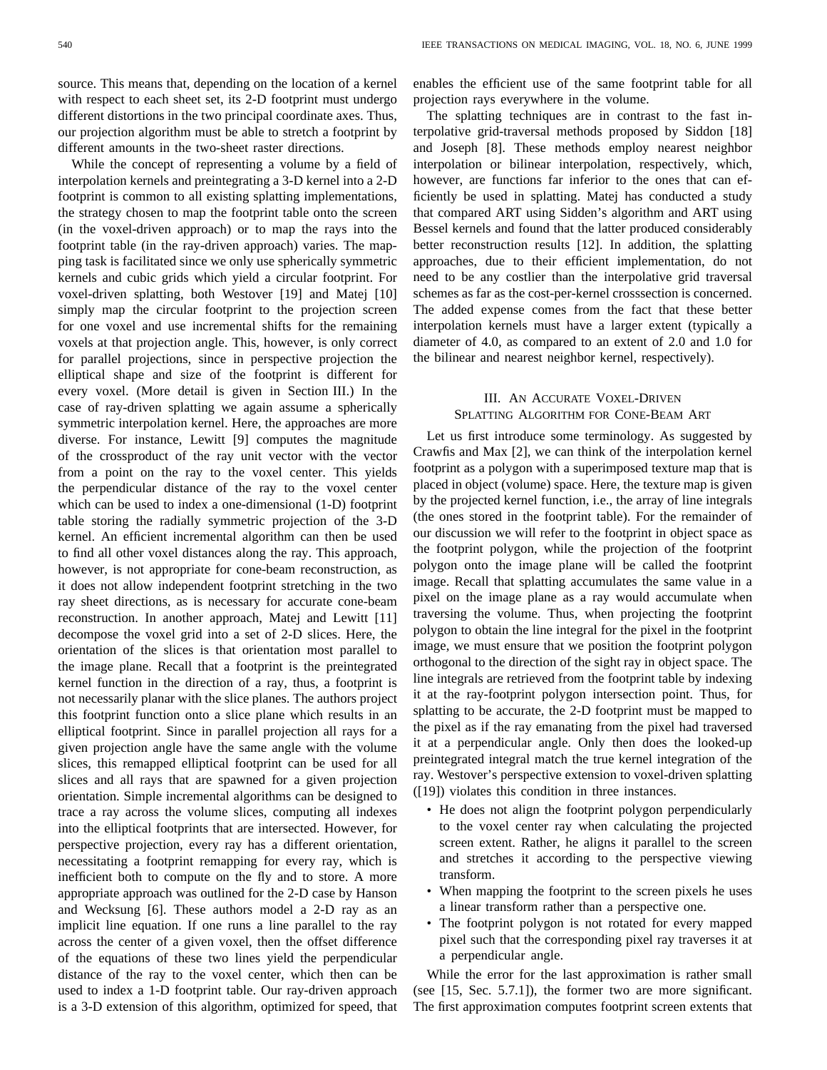source. This means that, depending on the location of a kernel with respect to each sheet set, its 2-D footprint must undergo different distortions in the two principal coordinate axes. Thus, our projection algorithm must be able to stretch a footprint by different amounts in the two-sheet raster directions.

While the concept of representing a volume by a field of interpolation kernels and preintegrating a 3-D kernel into a 2-D footprint is common to all existing splatting implementations, the strategy chosen to map the footprint table onto the screen (in the voxel-driven approach) or to map the rays into the footprint table (in the ray-driven approach) varies. The mapping task is facilitated since we only use spherically symmetric kernels and cubic grids which yield a circular footprint. For voxel-driven splatting, both Westover [19] and Matej [10] simply map the circular footprint to the projection screen for one voxel and use incremental shifts for the remaining voxels at that projection angle. This, however, is only correct for parallel projections, since in perspective projection the elliptical shape and size of the footprint is different for every voxel. (More detail is given in Section III.) In the case of ray-driven splatting we again assume a spherically symmetric interpolation kernel. Here, the approaches are more diverse. For instance, Lewitt [9] computes the magnitude of the crossproduct of the ray unit vector with the vector from a point on the ray to the voxel center. This yields the perpendicular distance of the ray to the voxel center which can be used to index a one-dimensional (1-D) footprint table storing the radially symmetric projection of the 3-D kernel. An efficient incremental algorithm can then be used to find all other voxel distances along the ray. This approach, however, is not appropriate for cone-beam reconstruction, as it does not allow independent footprint stretching in the two ray sheet directions, as is necessary for accurate cone-beam reconstruction. In another approach, Matej and Lewitt [11] decompose the voxel grid into a set of 2-D slices. Here, the orientation of the slices is that orientation most parallel to the image plane. Recall that a footprint is the preintegrated kernel function in the direction of a ray, thus, a footprint is not necessarily planar with the slice planes. The authors project this footprint function onto a slice plane which results in an elliptical footprint. Since in parallel projection all rays for a given projection angle have the same angle with the volume slices, this remapped elliptical footprint can be used for all slices and all rays that are spawned for a given projection orientation. Simple incremental algorithms can be designed to trace a ray across the volume slices, computing all indexes into the elliptical footprints that are intersected. However, for perspective projection, every ray has a different orientation, necessitating a footprint remapping for every ray, which is inefficient both to compute on the fly and to store. A more appropriate approach was outlined for the 2-D case by Hanson and Wecksung [6]. These authors model a 2-D ray as an implicit line equation. If one runs a line parallel to the ray across the center of a given voxel, then the offset difference of the equations of these two lines yield the perpendicular distance of the ray to the voxel center, which then can be used to index a 1-D footprint table. Our ray-driven approach is a 3-D extension of this algorithm, optimized for speed, that

enables the efficient use of the same footprint table for all projection rays everywhere in the volume.

The splatting techniques are in contrast to the fast interpolative grid-traversal methods proposed by Siddon [18] and Joseph [8]. These methods employ nearest neighbor interpolation or bilinear interpolation, respectively, which, however, are functions far inferior to the ones that can efficiently be used in splatting. Matej has conducted a study that compared ART using Sidden's algorithm and ART using Bessel kernels and found that the latter produced considerably better reconstruction results [12]. In addition, the splatting approaches, due to their efficient implementation, do not need to be any costlier than the interpolative grid traversal schemes as far as the cost-per-kernel crosssection is concerned. The added expense comes from the fact that these better interpolation kernels must have a larger extent (typically a diameter of 4.0, as compared to an extent of 2.0 and 1.0 for the bilinear and nearest neighbor kernel, respectively).

## III. AN ACCURATE VOXEL-DRIVEN SPLATTING ALGORITHM FOR CONE-BEAM ART

Let us first introduce some terminology. As suggested by Crawfis and Max [2], we can think of the interpolation kernel footprint as a polygon with a superimposed texture map that is placed in object (volume) space. Here, the texture map is given by the projected kernel function, i.e., the array of line integrals (the ones stored in the footprint table). For the remainder of our discussion we will refer to the footprint in object space as the footprint polygon, while the projection of the footprint polygon onto the image plane will be called the footprint image. Recall that splatting accumulates the same value in a pixel on the image plane as a ray would accumulate when traversing the volume. Thus, when projecting the footprint polygon to obtain the line integral for the pixel in the footprint image, we must ensure that we position the footprint polygon orthogonal to the direction of the sight ray in object space. The line integrals are retrieved from the footprint table by indexing it at the ray-footprint polygon intersection point. Thus, for splatting to be accurate, the 2-D footprint must be mapped to the pixel as if the ray emanating from the pixel had traversed it at a perpendicular angle. Only then does the looked-up preintegrated integral match the true kernel integration of the ray. Westover's perspective extension to voxel-driven splatting ([19]) violates this condition in three instances.

- He does not align the footprint polygon perpendicularly to the voxel center ray when calculating the projected screen extent. Rather, he aligns it parallel to the screen and stretches it according to the perspective viewing transform.
- When mapping the footprint to the screen pixels he uses a linear transform rather than a perspective one.
- The footprint polygon is not rotated for every mapped pixel such that the corresponding pixel ray traverses it at a perpendicular angle.

While the error for the last approximation is rather small (see [15, Sec. 5.7.1]), the former two are more significant. The first approximation computes footprint screen extents that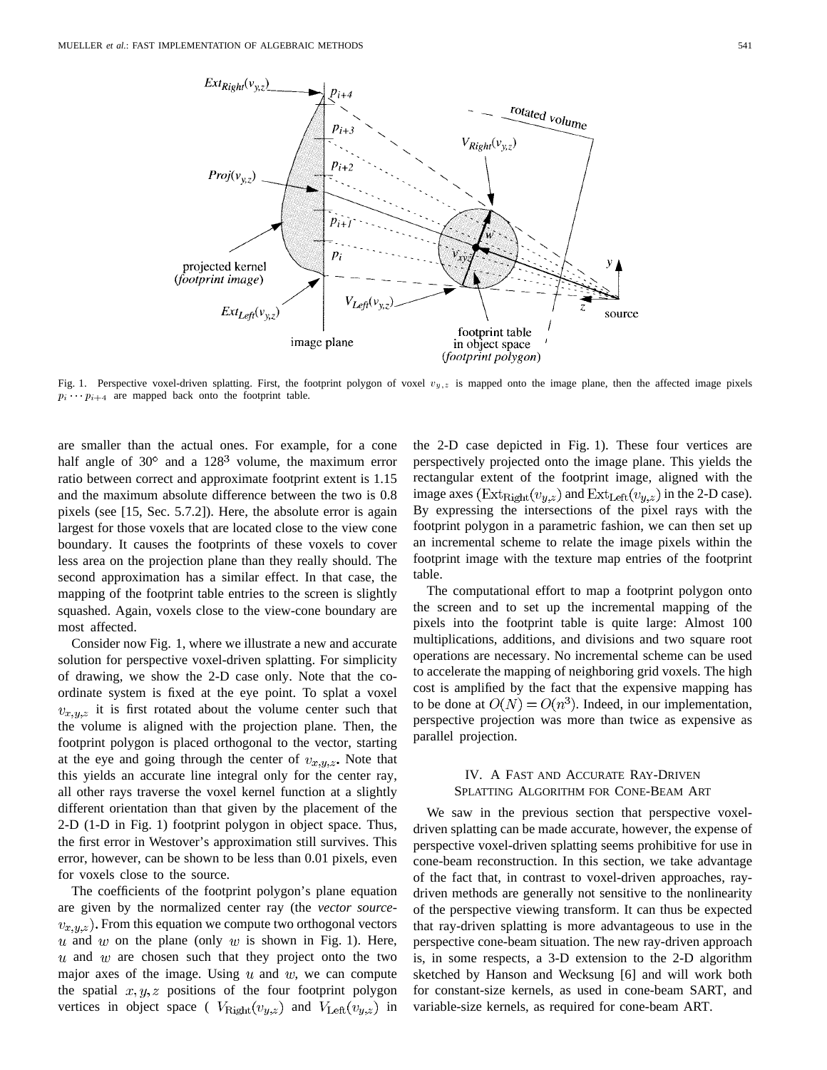

Fig. 1. Perspective voxel-driven splatting. First, the footprint polygon of voxel  $v_{y,z}$  is mapped onto the image plane, then the affected image pixels  $p_i \cdots p_{i+4}$  are mapped back onto the footprint table.

are smaller than the actual ones. For example, for a cone half angle of  $30^{\circ}$  and a  $128^3$  volume, the maximum error ratio between correct and approximate footprint extent is 1.15 and the maximum absolute difference between the two is 0.8 pixels (see [15, Sec. 5.7.2]). Here, the absolute error is again largest for those voxels that are located close to the view cone boundary. It causes the footprints of these voxels to cover less area on the projection plane than they really should. The second approximation has a similar effect. In that case, the mapping of the footprint table entries to the screen is slightly squashed. Again, voxels close to the view-cone boundary are most affected.

Consider now Fig. 1, where we illustrate a new and accurate solution for perspective voxel-driven splatting. For simplicity of drawing, we show the 2-D case only. Note that the coordinate system is fixed at the eye point. To splat a voxel  $v_{x,y,z}$  it is first rotated about the volume center such that the volume is aligned with the projection plane. Then, the footprint polygon is placed orthogonal to the vector, starting at the eye and going through the center of  $v_{x,y,z}$ . Note that this yields an accurate line integral only for the center ray, all other rays traverse the voxel kernel function at a slightly different orientation than that given by the placement of the 2-D (1-D in Fig. 1) footprint polygon in object space. Thus, the first error in Westover's approximation still survives. This error, however, can be shown to be less than 0.01 pixels, even for voxels close to the source.

The coefficients of the footprint polygon's plane equation are given by the normalized center ray (the *vector source*- $(v_{x,y,z})$ . From this equation we compute two orthogonal vectors  $u$  and  $w$  on the plane (only  $w$  is shown in Fig. 1). Here,  $u$  and  $w$  are chosen such that they project onto the two major axes of the image. Using  $u$  and  $w$ , we can compute the spatial  $x, y, z$  positions of the four footprint polygon vertices in object space (  $V_{\text{Right}}(v_{y,z})$  and  $V_{\text{Left}}(v_{y,z})$  in the 2-D case depicted in Fig. 1). These four vertices are perspectively projected onto the image plane. This yields the rectangular extent of the footprint image, aligned with the image axes  $\left(\text{Ext}_{\text{Right}}(v_{y,z})\right)$  and  $\text{Ext}_{\text{Left}}(v_{y,z})$  in the 2-D case). By expressing the intersections of the pixel rays with the footprint polygon in a parametric fashion, we can then set up an incremental scheme to relate the image pixels within the footprint image with the texture map entries of the footprint table.

The computational effort to map a footprint polygon onto the screen and to set up the incremental mapping of the pixels into the footprint table is quite large: Almost 100 multiplications, additions, and divisions and two square root operations are necessary. No incremental scheme can be used to accelerate the mapping of neighboring grid voxels. The high cost is amplified by the fact that the expensive mapping has to be done at  $O(N) = O(n^3)$ . Indeed, in our implementation, perspective projection was more than twice as expensive as parallel projection.

## IV. A FAST AND ACCURATE RAY-DRIVEN SPLATTING ALGORITHM FOR CONE-BEAM ART

We saw in the previous section that perspective voxeldriven splatting can be made accurate, however, the expense of perspective voxel-driven splatting seems prohibitive for use in cone-beam reconstruction. In this section, we take advantage of the fact that, in contrast to voxel-driven approaches, raydriven methods are generally not sensitive to the nonlinearity of the perspective viewing transform. It can thus be expected that ray-driven splatting is more advantageous to use in the perspective cone-beam situation. The new ray-driven approach is, in some respects, a 3-D extension to the 2-D algorithm sketched by Hanson and Wecksung [6] and will work both for constant-size kernels, as used in cone-beam SART, and variable-size kernels, as required for cone-beam ART.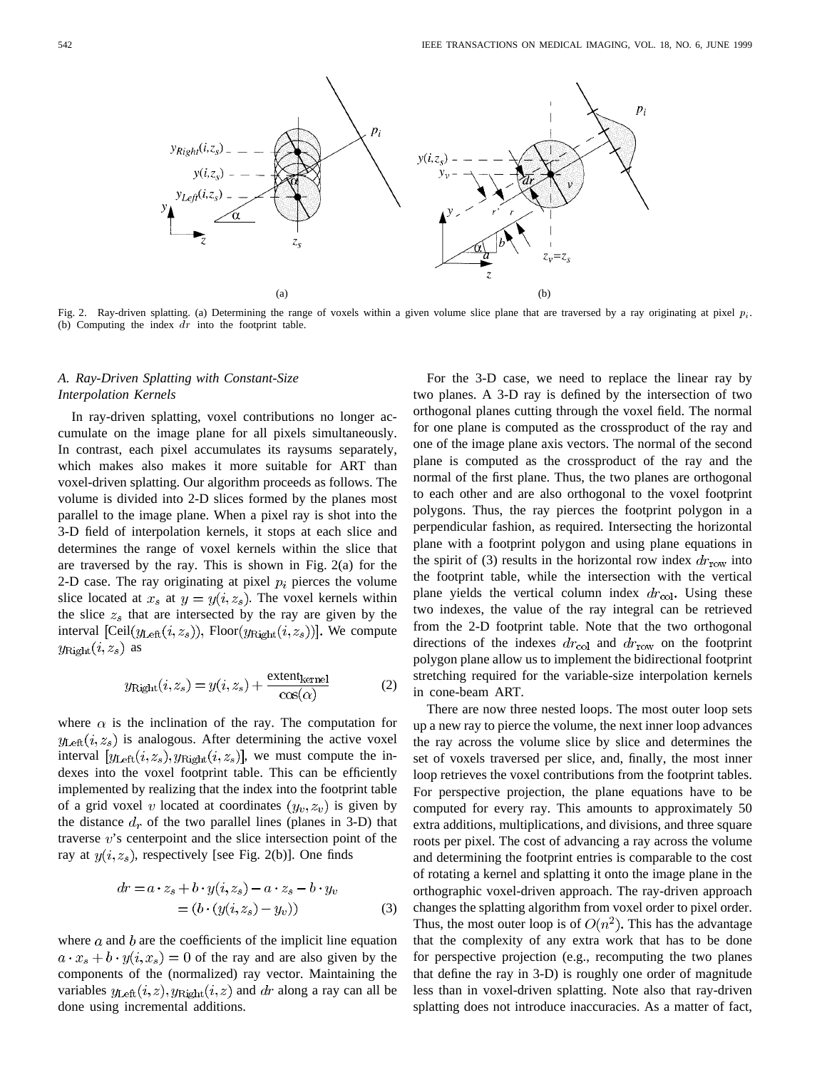

Fig. 2. Ray-driven splatting. (a) Determining the range of voxels within a given volume slice plane that are traversed by a ray originating at pixel  $p_i$ . (b) Computing the index  $\overline{dr}$  into the footprint table.

# *A. Ray-Driven Splatting with Constant-Size Interpolation Kernels*

In ray-driven splatting, voxel contributions no longer accumulate on the image plane for all pixels simultaneously. In contrast, each pixel accumulates its raysums separately, which makes also makes it more suitable for ART than voxel-driven splatting. Our algorithm proceeds as follows. The volume is divided into 2-D slices formed by the planes most parallel to the image plane. When a pixel ray is shot into the 3-D field of interpolation kernels, it stops at each slice and determines the range of voxel kernels within the slice that are traversed by the ray. This is shown in Fig. 2(a) for the 2-D case. The ray originating at pixel  $p_i$  pierces the volume slice located at  $x_s$  at  $y = y(i, z_s)$ . The voxel kernels within the slice  $z<sub>s</sub>$  that are intersected by the ray are given by the interval [Ceil( $y_{\text{Left}}(i, z_s)$ ), Floor( $y_{\text{Right}}(i, z_s)$ )]. We compute  $y_{\text{Right}}(i, z_s)$  as

$$
y_{\text{Right}}(i, z_s) = y(i, z_s) + \frac{\text{extent}_{\text{kernel}}}{\cos(\alpha)}\tag{2}
$$

where  $\alpha$  is the inclination of the ray. The computation for  $y_{\text{Left}}(i, z_s)$  is analogous. After determining the active voxel interval  $[y<sub>Left</sub>(i, z<sub>s</sub>), y<sub>Right</sub>(i, z<sub>s</sub>)]$ , we must compute the indexes into the voxel footprint table. This can be efficiently implemented by realizing that the index into the footprint table of a grid voxel v located at coordinates  $(y_v, z_v)$  is given by the distance  $d_r$  of the two parallel lines (planes in 3-D) that traverse  $v$ 's centerpoint and the slice intersection point of the ray at  $y(i, z_s)$ , respectively [see Fig. 2(b)]. One finds

$$
dr = a \cdot z_s + b \cdot y(i, z_s) - a \cdot z_s - b \cdot y_v
$$
  
= 
$$
(b \cdot (y(i, z_s) - y_v))
$$
 (3)

where  $\alpha$  and  $\dot{b}$  are the coefficients of the implicit line equation  $a \cdot x_s + b \cdot y(i, x_s) = 0$  of the ray and are also given by the components of the (normalized) ray vector. Maintaining the variables  $y_{\text{Left}}(i, z)$ ,  $y_{\text{Right}}(i, z)$  and dr along a ray can all be done using incremental additions.

For the 3-D case, we need to replace the linear ray by two planes. A 3-D ray is defined by the intersection of two orthogonal planes cutting through the voxel field. The normal for one plane is computed as the crossproduct of the ray and one of the image plane axis vectors. The normal of the second plane is computed as the crossproduct of the ray and the normal of the first plane. Thus, the two planes are orthogonal to each other and are also orthogonal to the voxel footprint polygons. Thus, the ray pierces the footprint polygon in a perpendicular fashion, as required. Intersecting the horizontal plane with a footprint polygon and using plane equations in the spirit of (3) results in the horizontal row index  $dr_{\text{row}}$  into the footprint table, while the intersection with the vertical plane yields the vertical column index  $dr_{\text{col}}$ . Using these two indexes, the value of the ray integral can be retrieved from the 2-D footprint table. Note that the two orthogonal directions of the indexes  $dr_{\text{col}}$  and  $dr_{\text{row}}$  on the footprint polygon plane allow us to implement the bidirectional footprint stretching required for the variable-size interpolation kernels in cone-beam ART.

There are now three nested loops. The most outer loop sets up a new ray to pierce the volume, the next inner loop advances the ray across the volume slice by slice and determines the set of voxels traversed per slice, and, finally, the most inner loop retrieves the voxel contributions from the footprint tables. For perspective projection, the plane equations have to be computed for every ray. This amounts to approximately 50 extra additions, multiplications, and divisions, and three square roots per pixel. The cost of advancing a ray across the volume and determining the footprint entries is comparable to the cost of rotating a kernel and splatting it onto the image plane in the orthographic voxel-driven approach. The ray-driven approach changes the splatting algorithm from voxel order to pixel order. Thus, the most outer loop is of  $O(n^2)$ . This has the advantage that the complexity of any extra work that has to be done for perspective projection (e.g., recomputing the two planes that define the ray in 3-D) is roughly one order of magnitude less than in voxel-driven splatting. Note also that ray-driven splatting does not introduce inaccuracies. As a matter of fact,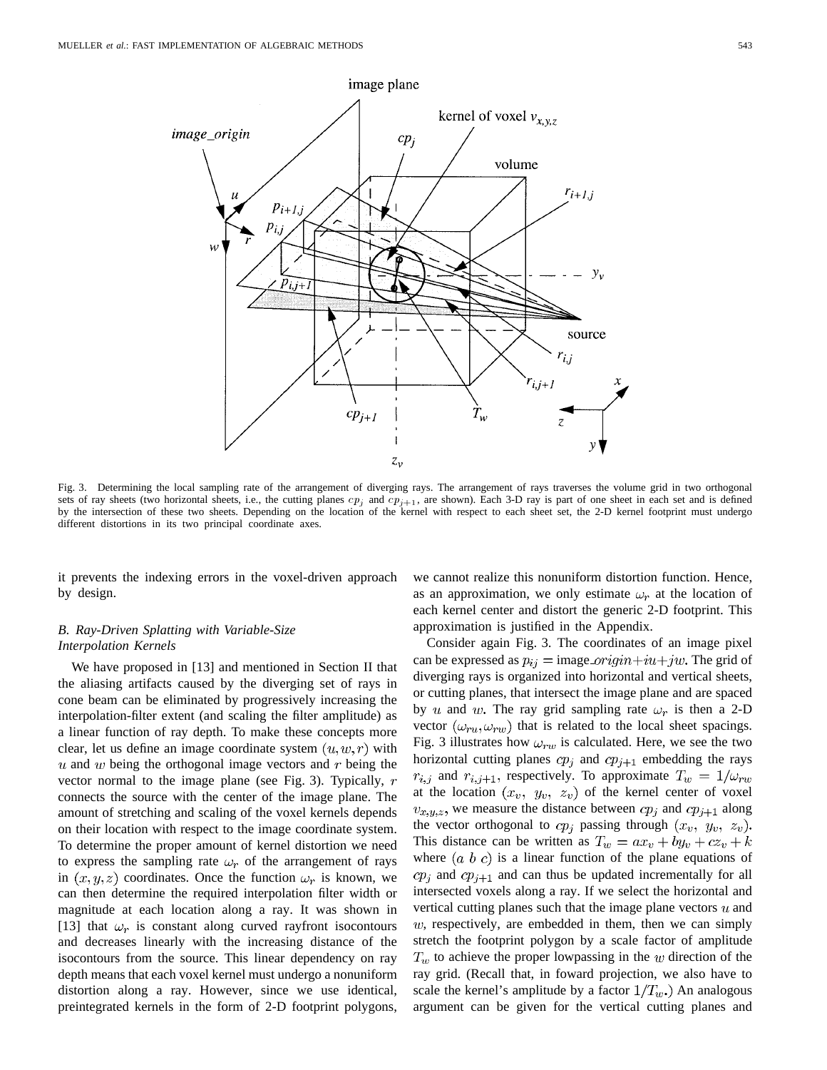

Fig. 3. Determining the local sampling rate of the arrangement of diverging rays. The arrangement of rays traverses the volume grid in two orthogonal sets of ray sheets (two horizontal sheets, i.e., the cutting planes  $cp_j$  and  $cp_{j+1}$ , are shown). Each 3-D ray is part of one sheet in each set and is defined by the intersection of these two sheets. Depending on the location of the kernel with respect to each sheet set, the 2-D kernel footprint must undergo different distortions in its two principal coordinate axes.

it prevents the indexing errors in the voxel-driven approach by design.

## *B. Ray-Driven Splatting with Variable-Size Interpolation Kernels*

We have proposed in [13] and mentioned in Section II that the aliasing artifacts caused by the diverging set of rays in cone beam can be eliminated by progressively increasing the interpolation-filter extent (and scaling the filter amplitude) as a linear function of ray depth. To make these concepts more clear, let us define an image coordinate system  $(u, w, r)$  with  $u$  and  $w$  being the orthogonal image vectors and  $r$  being the vector normal to the image plane (see Fig. 3). Typically,  $r$ connects the source with the center of the image plane. The amount of stretching and scaling of the voxel kernels depends on their location with respect to the image coordinate system. To determine the proper amount of kernel distortion we need to express the sampling rate  $\omega_r$  of the arrangement of rays in  $(x, y, z)$  coordinates. Once the function  $\omega_r$  is known, we can then determine the required interpolation filter width or magnitude at each location along a ray. It was shown in [13] that  $\omega_r$  is constant along curved rayfront isocontours and decreases linearly with the increasing distance of the isocontours from the source. This linear dependency on ray depth means that each voxel kernel must undergo a nonuniform distortion along a ray. However, since we use identical, preintegrated kernels in the form of 2-D footprint polygons, we cannot realize this nonuniform distortion function. Hence, as an approximation, we only estimate  $\omega_r$  at the location of each kernel center and distort the generic 2-D footprint. This approximation is justified in the Appendix.

Consider again Fig. 3. The coordinates of an image pixel can be expressed as  $p_{ij} = \text{image\_origin} + iu + jw$ . The grid of diverging rays is organized into horizontal and vertical sheets, or cutting planes, that intersect the image plane and are spaced by u and w. The ray grid sampling rate  $\omega_r$  is then a 2-D vector  $(\omega_{ru}, \omega_{rw})$  that is related to the local sheet spacings. Fig. 3 illustrates how  $\omega_{rw}$  is calculated. Here, we see the two horizontal cutting planes  $cp_j$  and  $cp_{j+1}$  embedding the rays  $r_{i,j}$  and  $r_{i,j+1}$ , respectively. To approximate  $T_w = 1/\omega_{rw}$ at the location  $(x_v, y_v, z_v)$  of the kernel center of voxel  $v_{x,y,z}$ , we measure the distance between  $cp_j$  and  $cp_{j+1}$  along the vector orthogonal to  $cp_i$  passing through  $(x_v, y_v, z_v)$ . This distance can be written as  $T_w = ax_v + by_v + cz_v + k$ where  $(a, b, c)$  is a linear function of the plane equations of  $cp<sub>i</sub>$  and  $cp<sub>i+1</sub>$  and can thus be updated incrementally for all intersected voxels along a ray. If we select the horizontal and vertical cutting planes such that the image plane vectors  $u$  and  $w$ , respectively, are embedded in them, then we can simply stretch the footprint polygon by a scale factor of amplitude  $T_w$  to achieve the proper lowpassing in the w direction of the ray grid. (Recall that, in foward projection, we also have to scale the kernel's amplitude by a factor  $1/T_w$ .) An analogous argument can be given for the vertical cutting planes and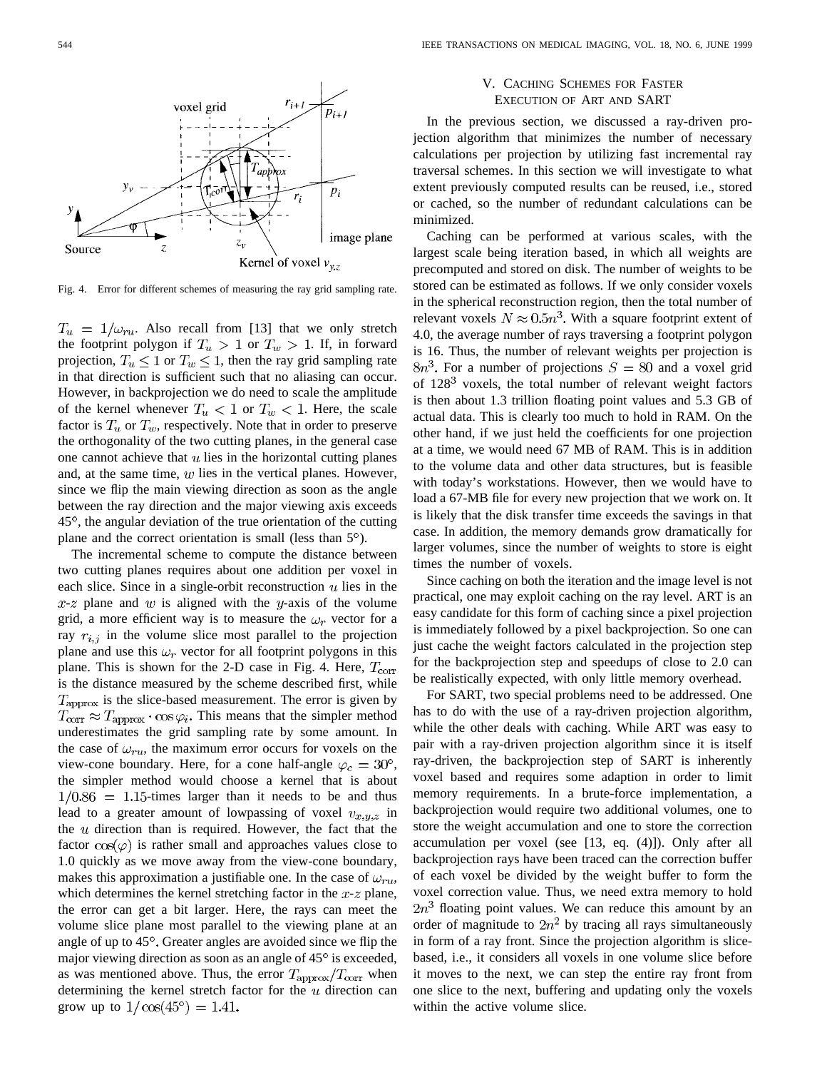

Fig. 4. Error for different schemes of measuring the ray grid sampling rate.

 $T_u = 1/\omega_{ru}$ . Also recall from [13] that we only stretch the footprint polygon if  $T_u > 1$  or  $T_w > 1$ . If, in forward projection,  $T_u \leq 1$  or  $T_w \leq 1$ , then the ray grid sampling rate in that direction is sufficient such that no aliasing can occur. However, in backprojection we do need to scale the amplitude of the kernel whenever  $T_u < 1$  or  $T_w < 1$ . Here, the scale factor is  $T_u$  or  $T_w$ , respectively. Note that in order to preserve the orthogonality of the two cutting planes, in the general case one cannot achieve that  $u$  lies in the horizontal cutting planes and, at the same time,  $w$  lies in the vertical planes. However, since we flip the main viewing direction as soon as the angle between the ray direction and the major viewing axis exceeds  $45^\circ$ , the angular deviation of the true orientation of the cutting plane and the correct orientation is small (less than  $5^{\circ}$ ).

The incremental scheme to compute the distance between two cutting planes requires about one addition per voxel in each slice. Since in a single-orbit reconstruction  $u$  lies in the  $x-z$  plane and  $w$  is aligned with the  $y$ -axis of the volume grid, a more efficient way is to measure the  $\omega_r$  vector for a ray  $r_{i,j}$  in the volume slice most parallel to the projection plane and use this  $\omega_r$  vector for all footprint polygons in this plane. This is shown for the 2-D case in Fig. 4. Here,  $T_{\text{corr}}$ is the distance measured by the scheme described first, while  $T_{\text{approx}}$  is the slice-based measurement. The error is given by  $T_{\text{corr}} \approx T_{\text{approx}} \cdot \cos \varphi_i$ . This means that the simpler method underestimates the grid sampling rate by some amount. In the case of  $\omega_{ru}$ , the maximum error occurs for voxels on the view-cone boundary. Here, for a cone half-angle  $\varphi_c = 30^{\circ}$ , the simpler method would choose a kernel that is about  $1/0.86 = 1.15$ -times larger than it needs to be and thus lead to a greater amount of lowpassing of voxel  $v_{x,y,z}$  in the  $u$  direction than is required. However, the fact that the factor  $\cos(\varphi)$  is rather small and approaches values close to 1.0 quickly as we move away from the view-cone boundary, makes this approximation a justifiable one. In the case of  $\omega_{ru}$ , which determines the kernel stretching factor in the  $x-z$  plane, the error can get a bit larger. Here, the rays can meet the volume slice plane most parallel to the viewing plane at an angle of up to  $45^\circ$ . Greater angles are avoided since we flip the major viewing direction as soon as an angle of  $45^\circ$  is exceeded, as was mentioned above. Thus, the error  $T_{\text{approx}}/T_{\text{corr}}$  when determining the kernel stretch factor for the  $u$  direction can grow up to  $1/\cos(45^{\circ}) = 1.41$ .

## V. CACHING SCHEMES FOR FASTER EXECUTION OF ART AND SART

In the previous section, we discussed a ray-driven projection algorithm that minimizes the number of necessary calculations per projection by utilizing fast incremental ray traversal schemes. In this section we will investigate to what extent previously computed results can be reused, i.e., stored or cached, so the number of redundant calculations can be minimized.

Caching can be performed at various scales, with the largest scale being iteration based, in which all weights are precomputed and stored on disk. The number of weights to be stored can be estimated as follows. If we only consider voxels in the spherical reconstruction region, then the total number of relevant voxels  $N \approx 0.5n^3$ . With a square footprint extent of 4.0, the average number of rays traversing a footprint polygon is 16. Thus, the number of relevant weights per projection is  $8n<sup>3</sup>$ . For a number of projections  $S = 80$  and a voxel grid of  $128<sup>3</sup>$  voxels, the total number of relevant weight factors is then about 1.3 trillion floating point values and 5.3 GB of actual data. This is clearly too much to hold in RAM. On the other hand, if we just held the coefficients for one projection at a time, we would need 67 MB of RAM. This is in addition to the volume data and other data structures, but is feasible with today's workstations. However, then we would have to load a 67-MB file for every new projection that we work on. It is likely that the disk transfer time exceeds the savings in that case. In addition, the memory demands grow dramatically for larger volumes, since the number of weights to store is eight times the number of voxels.

Since caching on both the iteration and the image level is not practical, one may exploit caching on the ray level. ART is an easy candidate for this form of caching since a pixel projection is immediately followed by a pixel backprojection. So one can just cache the weight factors calculated in the projection step for the backprojection step and speedups of close to 2.0 can be realistically expected, with only little memory overhead.

For SART, two special problems need to be addressed. One has to do with the use of a ray-driven projection algorithm, while the other deals with caching. While ART was easy to pair with a ray-driven projection algorithm since it is itself ray-driven, the backprojection step of SART is inherently voxel based and requires some adaption in order to limit memory requirements. In a brute-force implementation, a backprojection would require two additional volumes, one to store the weight accumulation and one to store the correction accumulation per voxel (see [13, eq. (4)]). Only after all backprojection rays have been traced can the correction buffer of each voxel be divided by the weight buffer to form the voxel correction value. Thus, we need extra memory to hold  $2n<sup>3</sup>$  floating point values. We can reduce this amount by an order of magnitude to  $2n^2$  by tracing all rays simultaneously in form of a ray front. Since the projection algorithm is slicebased, i.e., it considers all voxels in one volume slice before it moves to the next, we can step the entire ray front from one slice to the next, buffering and updating only the voxels within the active volume slice.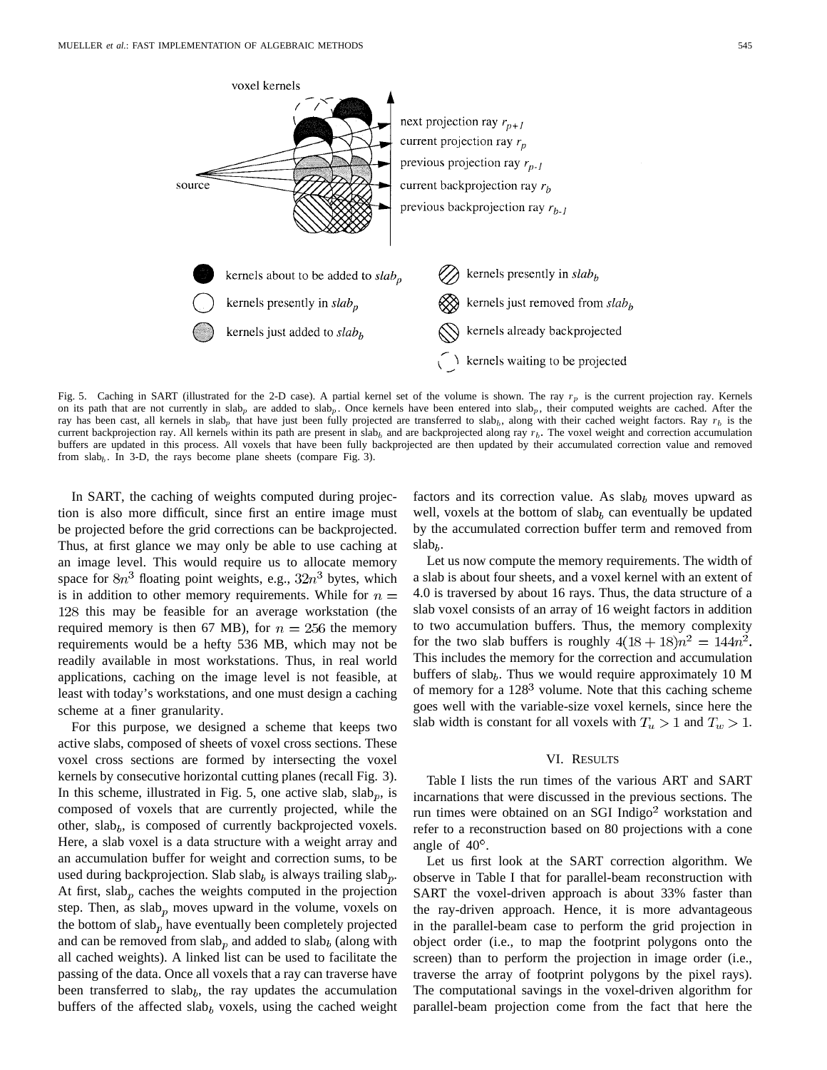

Fig. 5. Caching in SART (illustrated for the 2-D case). A partial kernel set of the volume is shown. The ray  $r_p$  is the current projection ray. Kernels on its path that are not currently in slab<sub>p</sub> are added to slab<sub>p</sub>. Once kernels have been entered into slab<sub>p</sub>, their computed weights are cached. After the ray has been cast, all kernels in slab<sub>p</sub> that have just been fully projected are transferred to slab<sub>b</sub>, along with their cached weight factors. Ray  $r_b$  is the current backprojection ray. All kernels within its path are present in slabb and are backprojected along ray  $r<sub>b</sub>$ . The voxel weight and correction accumulation buffers are updated in this process. All voxels that have been fully backprojected are then updated by their accumulated correction value and removed from  $slab<sub>b</sub>$ . In 3-D, the rays become plane sheets (compare Fig. 3).

In SART, the caching of weights computed during projection is also more difficult, since first an entire image must be projected before the grid corrections can be backprojected. Thus, at first glance we may only be able to use caching at an image level. This would require us to allocate memory space for  $8n^3$  floating point weights, e.g.,  $32n^3$  bytes, which is in addition to other memory requirements. While for  $n =$ 128 this may be feasible for an average workstation (the required memory is then 67 MB), for  $n = 256$  the memory requirements would be a hefty 536 MB, which may not be readily available in most workstations. Thus, in real world applications, caching on the image level is not feasible, at least with today's workstations, and one must design a caching scheme at a finer granularity.

For this purpose, we designed a scheme that keeps two active slabs, composed of sheets of voxel cross sections. These voxel cross sections are formed by intersecting the voxel kernels by consecutive horizontal cutting planes (recall Fig. 3). In this scheme, illustrated in Fig. 5, one active slab,  $slab<sub>p</sub>$ , is composed of voxels that are currently projected, while the other,  $slab<sub>b</sub>$ , is composed of currently backprojected voxels. Here, a slab voxel is a data structure with a weight array and an accumulation buffer for weight and correction sums, to be used during backprojection. Slab slab<sub>b</sub> is always trailing slab<sub>p</sub>. At first, slab<sub>p</sub> caches the weights computed in the projection step. Then, as slab<sub>p</sub> moves upward in the volume, voxels on the bottom of  $slab_p$  have eventually been completely projected and can be removed from slab<sub>p</sub> and added to slab<sub>b</sub> (along with all cached weights). A linked list can be used to facilitate the passing of the data. Once all voxels that a ray can traverse have been transferred to slab<sub>b</sub>, the ray updates the accumulation buffers of the affected slab<sub>b</sub> voxels, using the cached weight factors and its correction value. As  $slab_b$  moves upward as well, voxels at the bottom of  $slab<sub>b</sub>$  can eventually be updated by the accumulated correction buffer term and removed from slab<sub>b</sub>.

Let us now compute the memory requirements. The width of a slab is about four sheets, and a voxel kernel with an extent of 4.0 is traversed by about 16 rays. Thus, the data structure of a slab voxel consists of an array of 16 weight factors in addition to two accumulation buffers. Thus, the memory complexity for the two slab buffers is roughly  $4(18+18)n^2 = 144n^2$ . This includes the memory for the correction and accumulation buffers of slab $_b$ . Thus we would require approximately 10 M of memory for a  $128<sup>3</sup>$  volume. Note that this caching scheme goes well with the variable-size voxel kernels, since here the slab width is constant for all voxels with  $T_u > 1$  and  $T_w > 1$ .

### VI. RESULTS

Table I lists the run times of the various ART and SART incarnations that were discussed in the previous sections. The run times were obtained on an SGI Indigo<sup>2</sup> workstation and refer to a reconstruction based on 80 projections with a cone angle of  $40^\circ$ .

Let us first look at the SART correction algorithm. We observe in Table I that for parallel-beam reconstruction with SART the voxel-driven approach is about 33% faster than the ray-driven approach. Hence, it is more advantageous in the parallel-beam case to perform the grid projection in object order (i.e., to map the footprint polygons onto the screen) than to perform the projection in image order (i.e., traverse the array of footprint polygons by the pixel rays). The computational savings in the voxel-driven algorithm for parallel-beam projection come from the fact that here the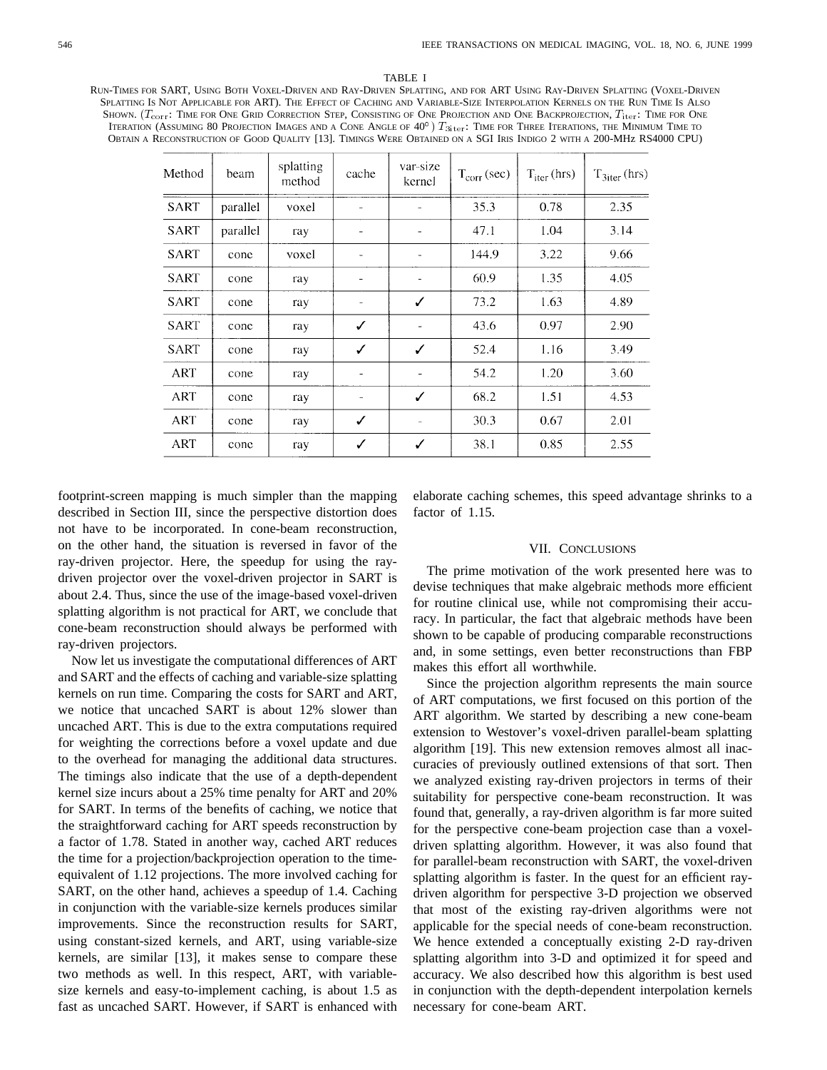#### TABLE I

RUN-TIMES FOR SART, USING BOTH VOXEL-DRIVEN AND RAY-DRIVEN SPLATTING, AND FOR ART USING RAY-DRIVEN SPLATTING (VOXEL-DRIVEN SPLATTING IS NOT APPLICABLE FOR ART). THE EFFECT OF CACHING AND VARIABLE-SIZE INTERPOLATION KERNELS ON THE RUN TIME IS ALSO SHOWN.  $(T_{corr}$ : TIME FOR ONE GRID CORRECTION STEP, CONSISTING OF ONE PROJECTION AND ONE BACKPROJECTION,  $T_{iter}$ : TIME FOR ONE ITERATION (ASSUMING 80 PROJECTION IMAGES AND A CONE ANGLE OF  $40^{\circ}$ )  $T_{3\text{iter}}$ : TIME FOR THREE ITERATIONS, THE MINIMUM TIME TO OBTAIN A RECONSTRUCTION OF GOOD QUALITY [13]. TIMINGS WERE OBTAINED ON A SGI IRIS INDIGO 2 WITH A 200-MHz RS4000 CPU)

| Method      | beam     | splatting<br>method | cache                    | var-size<br>kernel | $T_{corr}$ (sec) | $T_{iter}$ (hrs) | $T_{3iter}$ (hrs) |
|-------------|----------|---------------------|--------------------------|--------------------|------------------|------------------|-------------------|
| <b>SART</b> | parallel | voxel               | -                        |                    | 35.3             | 0.78             | 2.35              |
| <b>SART</b> | parallel | ray                 |                          |                    | 47.1             | 1.04             | 3.14              |
| SART        | cone     | voxel               |                          |                    | 144.9            | 3.22             | 9.66              |
| SART        | cone     | ray                 | -                        |                    | 60.9             | 1.35             | 4.05              |
| <b>SART</b> | cone     | ray                 |                          | ✓                  | 73.2             | 1.63             | 4.89              |
| <b>SART</b> | cone     | ray                 | ✓                        |                    | 43.6             | 0.97             | 2.90              |
| <b>SART</b> | cone     | ray                 | ✓                        | ✓                  | 52.4             | 1.16             | 3.49              |
| <b>ART</b>  | cone     | ray                 | $\overline{\phantom{a}}$ |                    | 54.2             | 1.20             | 3.60              |
| ART         | cone     | ray                 | -                        | ✓                  | 68.2             | 1.51             | 4.53              |
| <b>ART</b>  | cone     | ray                 | ✓                        |                    | 30.3             | 0.67             | 2.01              |
| ART         | cone     | ray                 | ✓                        | ✓                  | 38.1             | 0.85             | 2.55              |

footprint-screen mapping is much simpler than the mapping described in Section III, since the perspective distortion does not have to be incorporated. In cone-beam reconstruction, on the other hand, the situation is reversed in favor of the ray-driven projector. Here, the speedup for using the raydriven projector over the voxel-driven projector in SART is about 2.4. Thus, since the use of the image-based voxel-driven splatting algorithm is not practical for ART, we conclude that cone-beam reconstruction should always be performed with ray-driven projectors.

Now let us investigate the computational differences of ART and SART and the effects of caching and variable-size splatting kernels on run time. Comparing the costs for SART and ART, we notice that uncached SART is about 12% slower than uncached ART. This is due to the extra computations required for weighting the corrections before a voxel update and due to the overhead for managing the additional data structures. The timings also indicate that the use of a depth-dependent kernel size incurs about a 25% time penalty for ART and 20% for SART. In terms of the benefits of caching, we notice that the straightforward caching for ART speeds reconstruction by a factor of 1.78. Stated in another way, cached ART reduces the time for a projection/backprojection operation to the timeequivalent of 1.12 projections. The more involved caching for SART, on the other hand, achieves a speedup of 1.4. Caching in conjunction with the variable-size kernels produces similar improvements. Since the reconstruction results for SART, using constant-sized kernels, and ART, using variable-size kernels, are similar [13], it makes sense to compare these two methods as well. In this respect, ART, with variablesize kernels and easy-to-implement caching, is about 1.5 as fast as uncached SART. However, if SART is enhanced with

elaborate caching schemes, this speed advantage shrinks to a factor of 1.15.

#### VII. CONCLUSIONS

The prime motivation of the work presented here was to devise techniques that make algebraic methods more efficient for routine clinical use, while not compromising their accuracy. In particular, the fact that algebraic methods have been shown to be capable of producing comparable reconstructions and, in some settings, even better reconstructions than FBP makes this effort all worthwhile.

Since the projection algorithm represents the main source of ART computations, we first focused on this portion of the ART algorithm. We started by describing a new cone-beam extension to Westover's voxel-driven parallel-beam splatting algorithm [19]. This new extension removes almost all inaccuracies of previously outlined extensions of that sort. Then we analyzed existing ray-driven projectors in terms of their suitability for perspective cone-beam reconstruction. It was found that, generally, a ray-driven algorithm is far more suited for the perspective cone-beam projection case than a voxeldriven splatting algorithm. However, it was also found that for parallel-beam reconstruction with SART, the voxel-driven splatting algorithm is faster. In the quest for an efficient raydriven algorithm for perspective 3-D projection we observed that most of the existing ray-driven algorithms were not applicable for the special needs of cone-beam reconstruction. We hence extended a conceptually existing 2-D ray-driven splatting algorithm into 3-D and optimized it for speed and accuracy. We also described how this algorithm is best used in conjunction with the depth-dependent interpolation kernels necessary for cone-beam ART.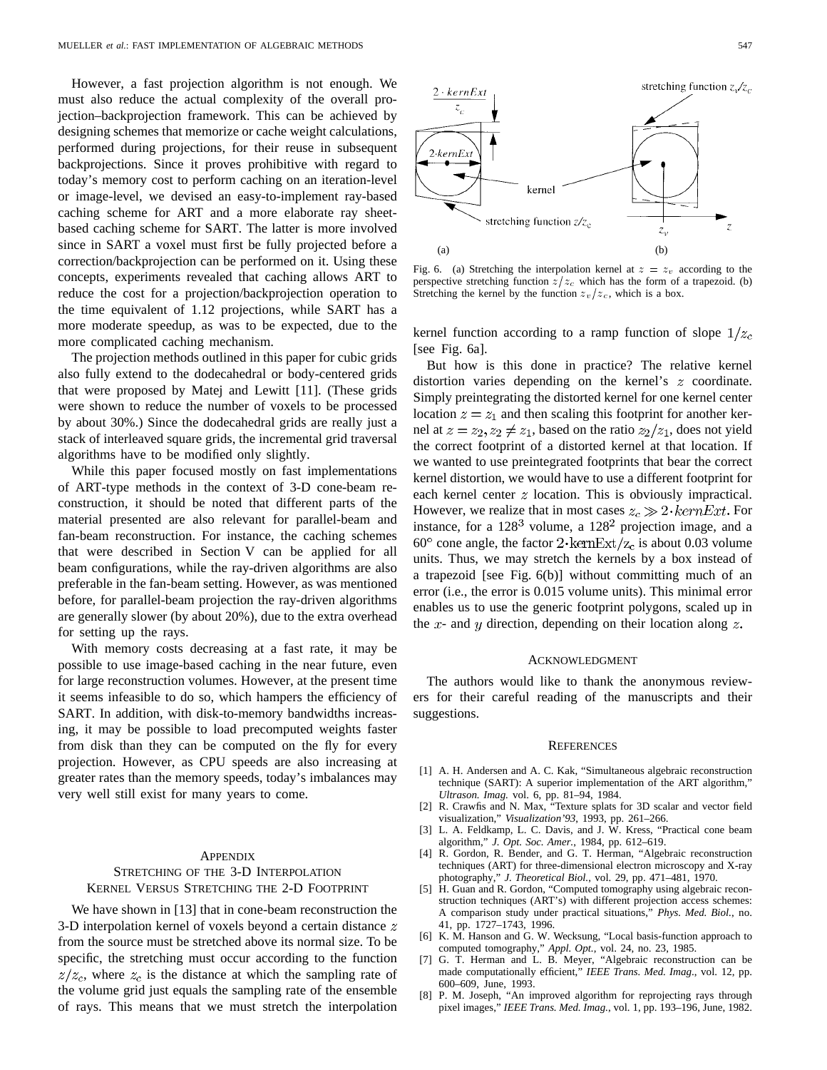However, a fast projection algorithm is not enough. We must also reduce the actual complexity of the overall projection–backprojection framework. This can be achieved by designing schemes that memorize or cache weight calculations, performed during projections, for their reuse in subsequent backprojections. Since it proves prohibitive with regard to today's memory cost to perform caching on an iteration-level or image-level, we devised an easy-to-implement ray-based caching scheme for ART and a more elaborate ray sheetbased caching scheme for SART. The latter is more involved since in SART a voxel must first be fully projected before a correction/backprojection can be performed on it. Using these concepts, experiments revealed that caching allows ART to reduce the cost for a projection/backprojection operation to the time equivalent of 1.12 projections, while SART has a more moderate speedup, as was to be expected, due to the more complicated caching mechanism.

The projection methods outlined in this paper for cubic grids also fully extend to the dodecahedral or body-centered grids that were proposed by Matej and Lewitt [11]. (These grids were shown to reduce the number of voxels to be processed by about 30%.) Since the dodecahedral grids are really just a stack of interleaved square grids, the incremental grid traversal algorithms have to be modified only slightly.

While this paper focused mostly on fast implementations of ART-type methods in the context of 3-D cone-beam reconstruction, it should be noted that different parts of the material presented are also relevant for parallel-beam and fan-beam reconstruction. For instance, the caching schemes that were described in Section V can be applied for all beam configurations, while the ray-driven algorithms are also preferable in the fan-beam setting. However, as was mentioned before, for parallel-beam projection the ray-driven algorithms are generally slower (by about 20%), due to the extra overhead for setting up the rays.

With memory costs decreasing at a fast rate, it may be possible to use image-based caching in the near future, even for large reconstruction volumes. However, at the present time it seems infeasible to do so, which hampers the efficiency of SART. In addition, with disk-to-memory bandwidths increasing, it may be possible to load precomputed weights faster from disk than they can be computed on the fly for every projection. However, as CPU speeds are also increasing at greater rates than the memory speeds, today's imbalances may very well still exist for many years to come.

#### **APPENDIX**

STRETCHING OF THE 3-D INTERPOLATION KERNEL VERSUS STRETCHING THE 2-D FOOTPRINT

We have shown in [13] that in cone-beam reconstruction the 3-D interpolation kernel of voxels beyond a certain distance z from the source must be stretched above its normal size. To be specific, the stretching must occur according to the function  $z/z_c$ , where  $z_c$  is the distance at which the sampling rate of the volume grid just equals the sampling rate of the ensemble of rays. This means that we must stretch the interpolation



Fig. 6. (a) Stretching the interpolation kernel at  $z = z<sub>v</sub>$  according to the perspective stretching function  $z/z_c$  which has the form of a trapezoid. (b) Stretching the kernel by the function  $z_v/z_c$ , which is a box.

kernel function according to a ramp function of slope  $1/z_c$ [see Fig. 6a].

But how is this done in practice? The relative kernel distortion varies depending on the kernel's  $z$  coordinate. Simply preintegrating the distorted kernel for one kernel center location  $z = z<sub>1</sub>$  and then scaling this footprint for another kernel at  $z = z_2, z_2 \neq z_1$ , based on the ratio  $z_2/z_1$ , does not yield the correct footprint of a distorted kernel at that location. If we wanted to use preintegrated footprints that bear the correct kernel distortion, we would have to use a different footprint for each kernel center  $z$  location. This is obviously impractical. However, we realize that in most cases  $z_c \gg 2 \cdot kernExt$ . For instance, for a  $128<sup>3</sup>$  volume, a  $128<sup>2</sup>$  projection image, and a 60 $\degree$  cone angle, the factor 2 $\cdot$  kern Ext/z<sub>c</sub> is about 0.03 volume units. Thus, we may stretch the kernels by a box instead of a trapezoid [see Fig. 6(b)] without committing much of an error (i.e., the error is 0.015 volume units). This minimal error enables us to use the generic footprint polygons, scaled up in the  $x$ - and  $y$  direction, depending on their location along  $z$ .

#### ACKNOWLEDGMENT

The authors would like to thank the anonymous reviewers for their careful reading of the manuscripts and their suggestions.

#### **REFERENCES**

- [1] A. H. Andersen and A. C. Kak, "Simultaneous algebraic reconstruction technique (SART): A superior implementation of the ART algorithm," *Ultrason. Imag.* vol. 6, pp. 81–94, 1984.
- [2] R. Crawfis and N. Max, "Texture splats for 3D scalar and vector field visualization," *Visualization'93*, 1993, pp. 261–266.
- [3] L. A. Feldkamp, L. C. Davis, and J. W. Kress, "Practical cone beam algorithm," *J. Opt. Soc. Amer.*, 1984, pp. 612–619.
- [4] R. Gordon, R. Bender, and G. T. Herman, "Algebraic reconstruction techniques (ART) for three-dimensional electron microscopy and X-ray photography," *J. Theoretical Biol.*, vol. 29, pp. 471–481, 1970.
- [5] H. Guan and R. Gordon, "Computed tomography using algebraic reconstruction techniques (ART's) with different projection access schemes: A comparison study under practical situations," *Phys. Med. Biol.*, no. 41, pp. 1727–1743, 1996.
- [6] K. M. Hanson and G. W. Wecksung, "Local basis-function approach to computed tomography," *Appl. Opt.*, vol. 24, no. 23, 1985.
- [7] G. T. Herman and L. B. Meyer, "Algebraic reconstruction can be made computationally efficient," *IEEE Trans. Med. Imag*., vol. 12, pp. 600–609, June, 1993.
- [8] P. M. Joseph, "An improved algorithm for reprojecting rays through pixel images," *IEEE Trans. Med. Imag.*, vol. 1, pp. 193–196, June, 1982.